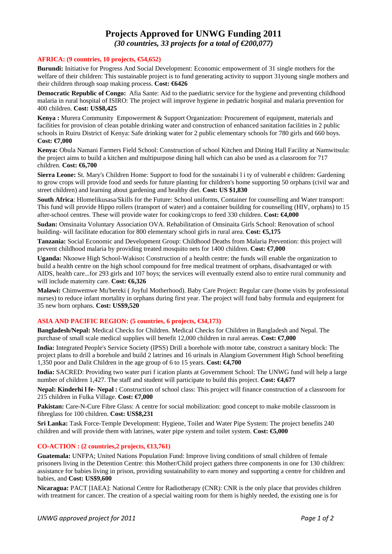# **Projects Approved for UNWG Funding 2011**

*(30 countries, 33 projects for a total of €200,077)* 

### **AFRICA: (9 countries, 10 projects, €54,652)**

**Burundi:** Initiative for Progress And Social Development: Economic empowerment of 31 single mothers for the welfare of their children: This sustainable project is to fund generating activity to support 31young single mothers and their children through soap making process. **Cost: €6426** 

**Democratic Republic of Congo:** Afia Sante: Aid to the paediatric service for the hygiene and preventing childhood malaria in rural hospital of ISIRO: The project will improve hygiene in pediatric hospital and malaria prevention for 400 children. **Cost: US\$8,425** 

**Kenya :** Murera Community Empowerment & Support Organization: Procurement of equipment, materials and facilities for provision of clean potable drinking water and construction of enhanced sanitation facilities in 2 public schools in Ruiru District of Kenya: Safe drinking water for 2 public elementary schools for 780 girls and 660 boys. **Cost: €7,000** 

**Kenya:** Obula Namani Farmers Field School: Construction of school Kitchen and Dining Hall Facility at Namwitsula: the project aims to build a kitchen and multipurpose dining hall which can also be used as a classroom for 717 children. **Cost: €6,700** 

**Sierra Leone:** St. Mary's Children Home: Support to food for the sustainabi l i ty of vulnerabl e children: Gardening to grow crops will provide food and seeds for future planting for children's home supporting 50 orphans (civil war and street children) and learning about gardening and healthy diet. **Cost: US \$1,830** 

**South Africa**: Hlomelikusasa/Skills for the Future: School uniforms, Container for counselling and Water transport: This fund will provide Hippo rollers (transport of water) and a container building for counselling (HIV, orphans) to 15 after-school centres. These will provide water for cooking/crops to feed 330 children. **Cost: €4,000** 

**Sudan:** Omsinaita Voluntary Association OVA. Rehabilitation of Omsinaita Girls School: Renovation of school building- will facilitate education for 800 elementary school girls in rural area. **Cost: €5,175** 

**Tanzania:** Social Economic and Development Group: Childhood Deaths from Malaria Prevention: this project will prevent childhood malaria by providing treated mosquito nets for 1400 children. **Cost: €7,000** 

**Uganda:** Nkoowe High School-Wakiso**:** Construction of a health centre: the funds will enable the organization to build a health centre on the high school compound for free medical treatment of orphans, disadvantaged or with AIDS, health care...for 293 girls and 107 boys; the services will eventually extend also to entire rural community and will include maternity care. **Cost: €6,326** 

**Malawi:** Chimwemwe Mu'bereki ( Joyful Motherhood). Baby Care Project: Regular care (home visits by professional nurses) to reduce infant mortality in orphans during first year. The project will fund baby formula and equipment for 35 new born orphans. **Cost: US\$9,520** 

## **ASIA AND PACIFIC REGION: (5 countries, 6 projects, €34,173)**

**Bangladesh/Nepal:** Medical Checks for Children. Medical Checks for Children in Bangladesh and Nepal. The purchase of small scale medical supplies will benefit 12,000 children in rural aereas. **Cost: €7,000** 

**India:** Integrated People's Service Society (IPSS) Drill a borehole with motor tabe, construct a sanitary block: The project plans to drill a borehole and build 2 latrines and 16 urinals in Alangium Government High School benefiting 1,350 poor and Dalit Children in the age group of 6 to 15 years. **Cost: €4,700** 

**India:** SACRED: Providing two water puri f ication plants at Government School: The UNWG fund will help a large number of children 1,427. The staff and student will participate to build this project. **Cost: €4,677** 

**Nepal: Kinderhi l fe- Nepal :** Construction of school class: This project will finance construction of a classroom for 215 children in Fulka Village. **Cost: €7,000** 

Pakistan: Care-N-Cure Fibre Glass: A centre for social mobilization: good concept to make mobile classroom in fibreglass for 100 children. **Cost: US\$8,231** 

**Sri Lanka:** Task Force-Temple Development: Hygiene, Toilet and Water Pipe System: The project benefits 240 children and will provide them with latrines, water pipe system and toilet system. **Cost: €5,000** 

### **CO-ACTION : (2 countries,2 projects, €13,761)**

**Guatemala:** UNFPA; United Nations Population Fund: Improve living conditions of small children of female prisoners living in the Detention Centre: this Mother/Child project gathers three components in one for 130 children: assistance for babies living in prison, providing sustainability to earn money and supporting a centre for children and babies, and **Cost: US\$9,600** 

**Nicaragua:** PACT [IAEA]: National Centre for Radiotherapy (CNR): CNR is the only place that provides children with treatment for cancer. The creation of a special waiting room for them is highly needed, the existing one is for